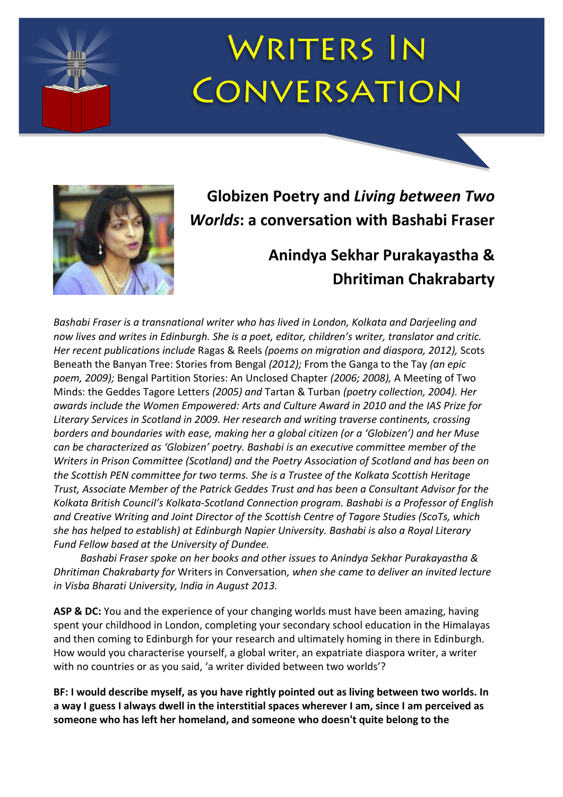# **WRITERS IN CONVERSATION**



# **Globizen Poetry and** *Living between Two Worlds***: a conversation with Bashabi Fraser**

# **Anindya Sekhar Purakayastha & Dhritiman Chakrabarty**

*Bashabi Fraser is a transnational writer who has lived in London, Kolkata and Darjeeling and now lives and writes in Edinburgh. She is a poet, editor, children's writer, translator and critic. Her recent publications include* Ragas & Reels *(poems on migration and diaspora, 2012),* Scots Beneath the Banyan Tree: Stories from Bengal *(2012);* From the Ganga to the Tay *(an epic poem, 2009);* Bengal Partition Stories: An Unclosed Chapter *(2006; 2008),* A Meeting of Two Minds: the Geddes Tagore Letters *(2005) and* Tartan & Turban *(poetry collection, 2004). Her awards include the Women Empowered: Arts and Culture Award in 2010 and the IAS Prize for Literary Services in Scotland in 2009. Her research and writing traverse continents, crossing borders and boundaries with ease, making her a global citizen (or a 'Globizen') and her Muse can be characterized as 'Globizen' poetry. Bashabi is an executive committee member of the Writers in Prison Committee (Scotland) and the Poetry Association of Scotland and has been on the Scottish PEN committee for two terms. She is a Trustee of the Kolkata Scottish Heritage Trust, Associate Member of the Patrick Geddes Trust and has been a Consultant Advisor for the Kolkata British Council's Kolkata-Scotland Connection program. Bashabi is a Professor of English and Creative Writing and Joint Director of the Scottish Centre of Tagore Studies (ScoTs, which she has helped to establish) at Edinburgh Napier University. Bashabi is also a Royal Literary Fund Fellow based at the University of Dundee.*

*Bashabi Fraser spoke on her books and other issues to Anindya Sekhar Purakayastha & Dhritiman Chakrabarty for* Writers in Conversation*, when she came to deliver an invited lecture in Visba Bharati University, India in August 2013.*

**ASP & DC:** You and the experience of your changing worlds must have been amazing, having spent your childhood in London, completing your secondary school education in the Himalayas and then coming to Edinburgh for your research and ultimately homing in there in Edinburgh. How would you characterise yourself, a global writer, an expatriate diaspora writer, a writer with no countries or as you said, 'a writer divided between two worlds'?

**BF: I would describe myself, as you have rightly pointed out as living between two worlds. In a way I guess I always dwell in the interstitial spaces wherever I am, since I am perceived as someone who has left her homeland, and someone who doesn't quite belong to the**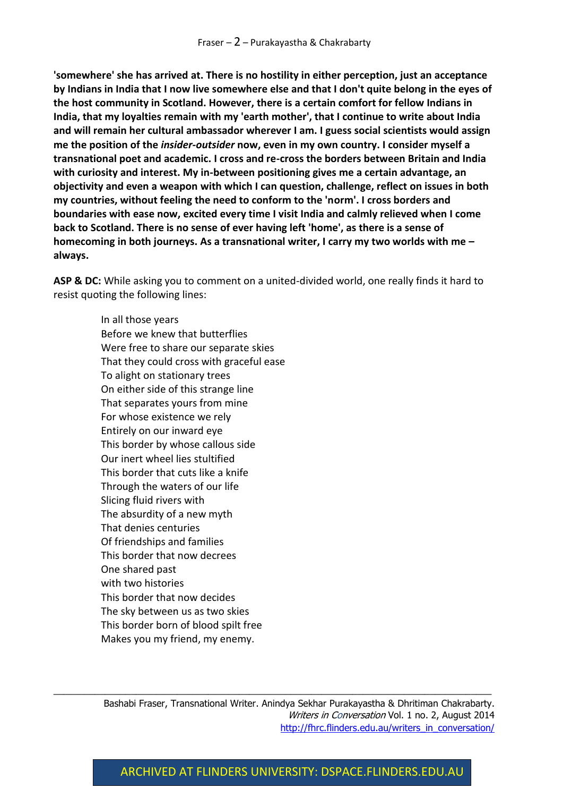**'somewhere' she has arrived at. There is no hostility in either perception, just an acceptance by Indians in India that I now live somewhere else and that I don't quite belong in the eyes of the host community in Scotland. However, there is a certain comfort for fellow Indians in India, that my loyalties remain with my 'earth mother', that I continue to write about India and will remain her cultural ambassador wherever I am. I guess social scientists would assign me the position of the** *insider-outsider* **now, even in my own country. I consider myself a transnational poet and academic. I cross and re-cross the borders between Britain and India with curiosity and interest. My in-between positioning gives me a certain advantage, an objectivity and even a weapon with which I can question, challenge, reflect on issues in both my countries, without feeling the need to conform to the 'norm'. I cross borders and boundaries with ease now, excited every time I visit India and calmly relieved when I come back to Scotland. There is no sense of ever having left 'home', as there is a sense of homecoming in both journeys. As a transnational writer, I carry my two worlds with me – always.**

**ASP & DC:** While asking you to comment on a united-divided world, one really finds it hard to resist quoting the following lines:

> In all those years Before we knew that butterflies Were free to share our separate skies That they could cross with graceful ease To alight on stationary trees On either side of this strange line That separates yours from mine For whose existence we rely Entirely on our inward eye This border by whose callous side Our inert wheel lies stultified This border that cuts like a knife Through the waters of our life Slicing fluid rivers with The absurdity of a new myth That denies centuries Of friendships and families This border that now decrees One shared past with two histories This border that now decides The sky between us as two skies This border born of blood spilt free Makes you my friend, my enemy.

Bashabi Fraser, Transnational Writer. Anindya Sekhar Purakayastha & Dhritiman Chakrabarty. Writers in Conversation Vol. 1 no. 2, August 2014 [http://fhrc.flinders.edu.au/writers\\_in\\_conversation/](http://fhrc.flinders.edu.au/writers_in_conversation/)

 $\_$  , and the set of the set of the set of the set of the set of the set of the set of the set of the set of the set of the set of the set of the set of the set of the set of the set of the set of the set of the set of th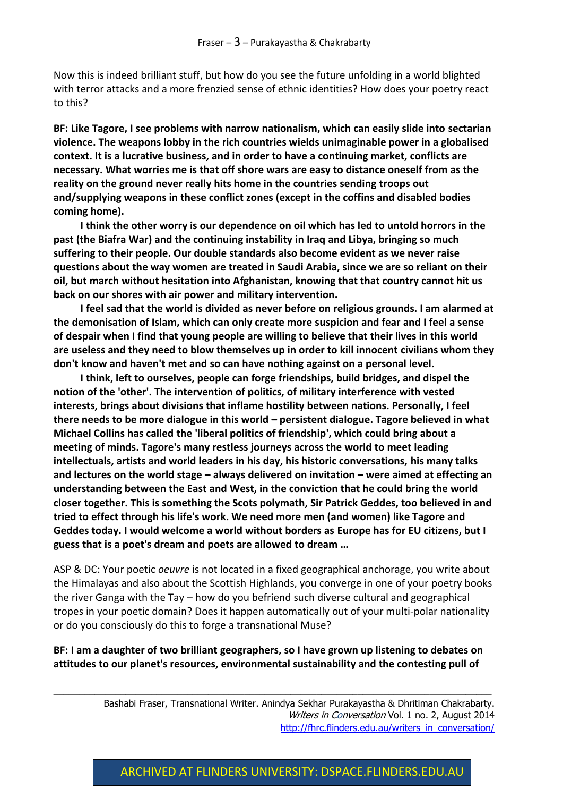Now this is indeed brilliant stuff, but how do you see the future unfolding in a world blighted with terror attacks and a more frenzied sense of ethnic identities? How does your poetry react to this?

**BF: Like Tagore, I see problems with narrow nationalism, which can easily slide into sectarian violence. The weapons lobby in the rich countries wields unimaginable power in a globalised context. It is a lucrative business, and in order to have a continuing market, conflicts are necessary. What worries me is that off shore wars are easy to distance oneself from as the reality on the ground never really hits home in the countries sending troops out and/supplying weapons in these conflict zones (except in the coffins and disabled bodies coming home).** 

**I think the other worry is our dependence on oil which has led to untold horrors in the past (the Biafra War) and the continuing instability in Iraq and Libya, bringing so much suffering to their people. Our double standards also become evident as we never raise questions about the way women are treated in Saudi Arabia, since we are so reliant on their oil, but march without hesitation into Afghanistan, knowing that that country cannot hit us back on our shores with air power and military intervention.**

**I feel sad that the world is divided as never before on religious grounds. I am alarmed at the demonisation of Islam, which can only create more suspicion and fear and I feel a sense of despair when I find that young people are willing to believe that their lives in this world are useless and they need to blow themselves up in order to kill innocent civilians whom they don't know and haven't met and so can have nothing against on a personal level.**

**I think, left to ourselves, people can forge friendships, build bridges, and dispel the notion of the 'other'. The intervention of politics, of military interference with vested interests, brings about divisions that inflame hostility between nations. Personally, I feel there needs to be more dialogue in this world – persistent dialogue. Tagore believed in what Michael Collins has called the 'liberal politics of friendship', which could bring about a meeting of minds. Tagore's many restless journeys across the world to meet leading intellectuals, artists and world leaders in his day, his historic conversations, his many talks and lectures on the world stage – always delivered on invitation – were aimed at effecting an understanding between the East and West, in the conviction that he could bring the world closer together. This is something the Scots polymath, Sir Patrick Geddes, too believed in and tried to effect through his life's work. We need more men (and women) like Tagore and Geddes today. I would welcome a world without borders as Europe has for EU citizens, but I guess that is a poet's dream and poets are allowed to dream …**

ASP & DC: Your poetic *oeuvre* is not located in a fixed geographical anchorage, you write about the Himalayas and also about the Scottish Highlands, you converge in one of your poetry books the river Ganga with the Tay – how do you befriend such diverse cultural and geographical tropes in your poetic domain? Does it happen automatically out of your multi-polar nationality or do you consciously do this to forge a transnational Muse?

**BF: I am a daughter of two brilliant geographers, so I have grown up listening to debates on attitudes to our planet's resources, environmental sustainability and the contesting pull of** 

 $\_$  , and the set of the set of the set of the set of the set of the set of the set of the set of the set of the set of the set of the set of the set of the set of the set of the set of the set of the set of the set of th

Bashabi Fraser, Transnational Writer. Anindya Sekhar Purakayastha & Dhritiman Chakrabarty. Writers in Conversation Vol. 1 no. 2, August 2014 [http://fhrc.flinders.edu.au/writers\\_in\\_conversation/](http://fhrc.flinders.edu.au/writers_in_conversation/)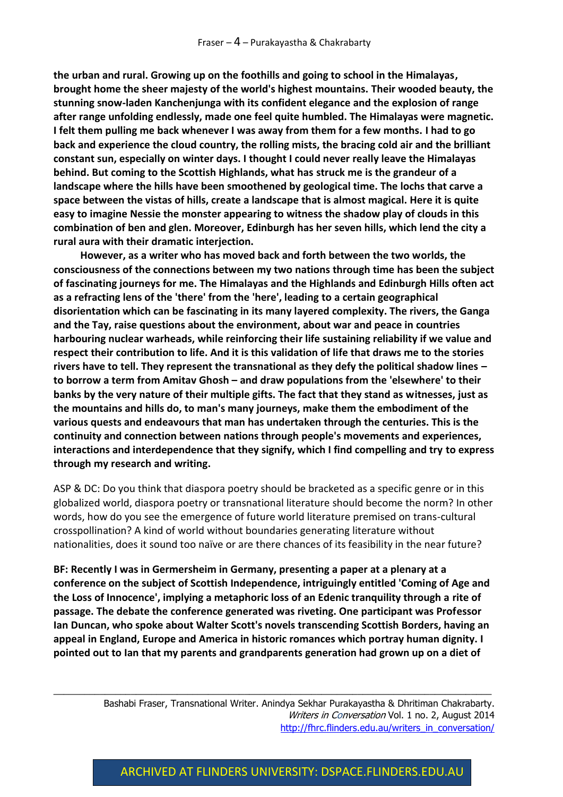**the urban and rural. Growing up on the foothills and going to school in the Himalayas, brought home the sheer majesty of the world's highest mountains. Their wooded beauty, the stunning snow-laden Kanchenjunga with its confident elegance and the explosion of range after range unfolding endlessly, made one feel quite humbled. The Himalayas were magnetic. I felt them pulling me back whenever I was away from them for a few months. I had to go back and experience the cloud country, the rolling mists, the bracing cold air and the brilliant constant sun, especially on winter days. I thought I could never really leave the Himalayas behind. But coming to the Scottish Highlands, what has struck me is the grandeur of a landscape where the hills have been smoothened by geological time. The lochs that carve a space between the vistas of hills, create a landscape that is almost magical. Here it is quite easy to imagine Nessie the monster appearing to witness the shadow play of clouds in this combination of ben and glen. Moreover, Edinburgh has her seven hills, which lend the city a rural aura with their dramatic interjection.** 

**However, as a writer who has moved back and forth between the two worlds, the consciousness of the connections between my two nations through time has been the subject of fascinating journeys for me. The Himalayas and the Highlands and Edinburgh Hills often act as a refracting lens of the 'there' from the 'here', leading to a certain geographical disorientation which can be fascinating in its many layered complexity. The rivers, the Ganga and the Tay, raise questions about the environment, about war and peace in countries harbouring nuclear warheads, while reinforcing their life sustaining reliability if we value and respect their contribution to life. And it is this validation of life that draws me to the stories rivers have to tell. They represent the transnational as they defy the political shadow lines – to borrow a term from Amitav Ghosh – and draw populations from the 'elsewhere' to their banks by the very nature of their multiple gifts. The fact that they stand as witnesses, just as the mountains and hills do, to man's many journeys, make them the embodiment of the various quests and endeavours that man has undertaken through the centuries. This is the continuity and connection between nations through people's movements and experiences, interactions and interdependence that they signify, which I find compelling and try to express through my research and writing.**

ASP & DC: Do you think that diaspora poetry should be bracketed as a specific genre or in this globalized world, diaspora poetry or transnational literature should become the norm? In other words, how do you see the emergence of future world literature premised on trans-cultural crosspollination? A kind of world without boundaries generating literature without nationalities, does it sound too naïve or are there chances of its feasibility in the near future?

**BF: Recently I was in Germersheim in Germany, presenting a paper at a plenary at a conference on the subject of Scottish Independence, intriguingly entitled 'Coming of Age and the Loss of Innocence', implying a metaphoric loss of an Edenic tranquility through a rite of passage. The debate the conference generated was riveting. One participant was Professor Ian Duncan, who spoke about Walter Scott's novels transcending Scottish Borders, having an appeal in England, Europe and America in historic romances which portray human dignity. I pointed out to Ian that my parents and grandparents generation had grown up on a diet of** 

 $\_$  , and the set of the set of the set of the set of the set of the set of the set of the set of the set of the set of the set of the set of the set of the set of the set of the set of the set of the set of the set of th

Bashabi Fraser, Transnational Writer. Anindya Sekhar Purakayastha & Dhritiman Chakrabarty. Writers in Conversation Vol. 1 no. 2, August 2014 [http://fhrc.flinders.edu.au/writers\\_in\\_conversation/](http://fhrc.flinders.edu.au/writers_in_conversation/)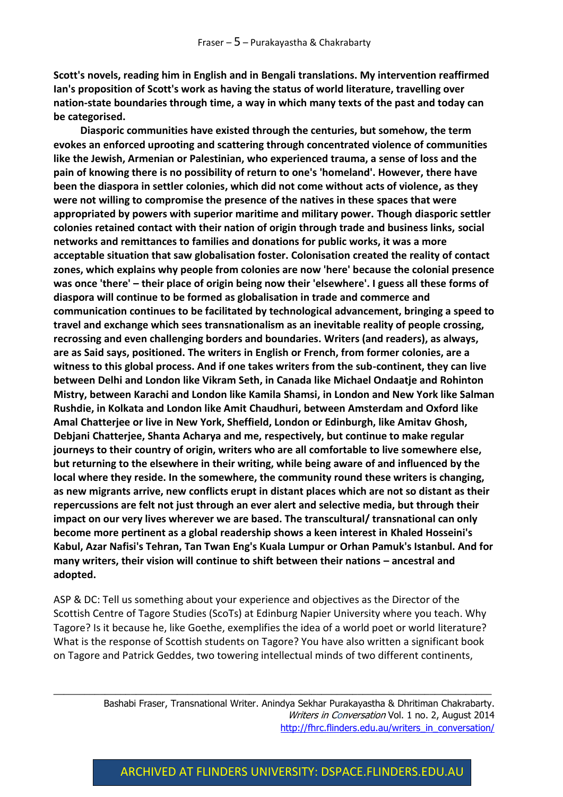**Scott's novels, reading him in English and in Bengali translations. My intervention reaffirmed Ian's proposition of Scott's work as having the status of world literature, travelling over nation-state boundaries through time, a way in which many texts of the past and today can be categorised.**

**Diasporic communities have existed through the centuries, but somehow, the term evokes an enforced uprooting and scattering through concentrated violence of communities like the Jewish, Armenian or Palestinian, who experienced trauma, a sense of loss and the pain of knowing there is no possibility of return to one's 'homeland'. However, there have been the diaspora in settler colonies, which did not come without acts of violence, as they were not willing to compromise the presence of the natives in these spaces that were appropriated by powers with superior maritime and military power. Though diasporic settler colonies retained contact with their nation of origin through trade and business links, social networks and remittances to families and donations for public works, it was a more acceptable situation that saw globalisation foster. Colonisation created the reality of contact zones, which explains why people from colonies are now 'here' because the colonial presence was once 'there' – their place of origin being now their 'elsewhere'. I guess all these forms of diaspora will continue to be formed as globalisation in trade and commerce and communication continues to be facilitated by technological advancement, bringing a speed to travel and exchange which sees transnationalism as an inevitable reality of people crossing, recrossing and even challenging borders and boundaries. Writers (and readers), as always, are as Said says, positioned. The writers in English or French, from former colonies, are a witness to this global process. And if one takes writers from the sub-continent, they can live between Delhi and London like Vikram Seth, in Canada like Michael Ondaatje and Rohinton Mistry, between Karachi and London like Kamila Shamsi, in London and New York like Salman Rushdie, in Kolkata and London like Amit Chaudhuri, between Amsterdam and Oxford like Amal Chatterjee or live in New York, Sheffield, London or Edinburgh, like Amitav Ghosh, Debjani Chatterjee, Shanta Acharya and me, respectively, but continue to make regular journeys to their country of origin, writers who are all comfortable to live somewhere else, but returning to the elsewhere in their writing, while being aware of and influenced by the local where they reside. In the somewhere, the community round these writers is changing, as new migrants arrive, new conflicts erupt in distant places which are not so distant as their repercussions are felt not just through an ever alert and selective media, but through their impact on our very lives wherever we are based. The transcultural/ transnational can only become more pertinent as a global readership shows a keen interest in Khaled Hosseini's Kabul, Azar Nafisi's Tehran, Tan Twan Eng's Kuala Lumpur or Orhan Pamuk's Istanbul. And for many writers, their vision will continue to shift between their nations – ancestral and adopted.**

ASP & DC: Tell us something about your experience and objectives as the Director of the Scottish Centre of Tagore Studies (ScoTs) at Edinburg Napier University where you teach. Why Tagore? Is it because he, like Goethe, exemplifies the idea of a world poet or world literature? What is the response of Scottish students on Tagore? You have also written a significant book on Tagore and Patrick Geddes, two towering intellectual minds of two different continents,

 $\_$  , and the set of the set of the set of the set of the set of the set of the set of the set of the set of the set of the set of the set of the set of the set of the set of the set of the set of the set of the set of th

Bashabi Fraser, Transnational Writer. Anindya Sekhar Purakayastha & Dhritiman Chakrabarty. Writers in Conversation Vol. 1 no. 2, August 2014 [http://fhrc.flinders.edu.au/writers\\_in\\_conversation/](http://fhrc.flinders.edu.au/writers_in_conversation/)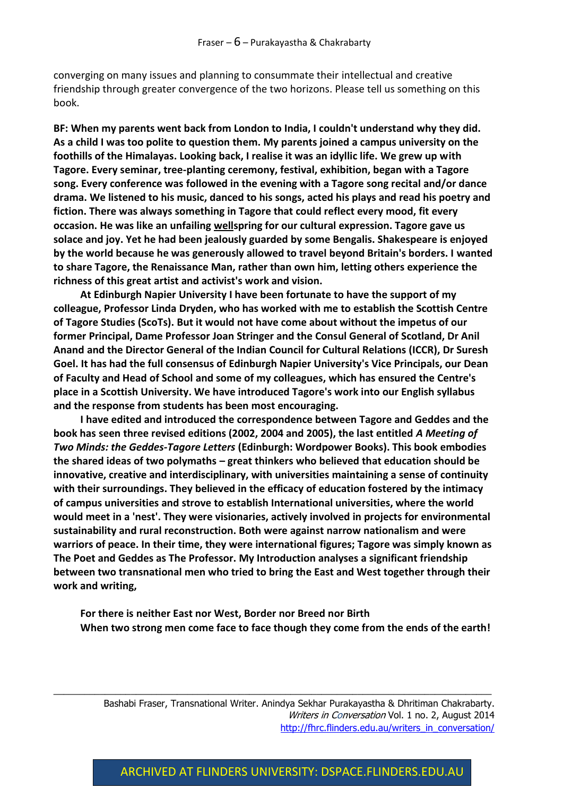converging on many issues and planning to consummate their intellectual and creative friendship through greater convergence of the two horizons. Please tell us something on this book.

**BF: When my parents went back from London to India, I couldn't understand why they did. As a child I was too polite to question them. My parents joined a campus university on the foothills of the Himalayas. Looking back, I realise it was an idyllic life. We grew up with Tagore. Every seminar, tree-planting ceremony, festival, exhibition, began with a Tagore song. Every conference was followed in the evening with a Tagore song recital and/or dance drama. We listened to his music, danced to his songs, acted his plays and read his poetry and fiction. There was always something in Tagore that could reflect every mood, fit every occasion. He was like an unfailing wellspring for our cultural expression. Tagore gave us solace and joy. Yet he had been jealously guarded by some Bengalis. Shakespeare is enjoyed by the world because he was generously allowed to travel beyond Britain's borders. I wanted to share Tagore, the Renaissance Man, rather than own him, letting others experience the richness of this great artist and activist's work and vision.** 

**At Edinburgh Napier University I have been fortunate to have the support of my colleague, Professor Linda Dryden, who has worked with me to establish the Scottish Centre of Tagore Studies (ScoTs). But it would not have come about without the impetus of our former Principal, Dame Professor Joan Stringer and the Consul General of Scotland, Dr Anil Anand and the Director General of the Indian Council for Cultural Relations (ICCR), Dr Suresh Goel. It has had the full consensus of Edinburgh Napier University's Vice Principals, our Dean of Faculty and Head of School and some of my colleagues, which has ensured the Centre's place in a Scottish University. We have introduced Tagore's work into our English syllabus and the response from students has been most encouraging.**

**I have edited and introduced the correspondence between Tagore and Geddes and the book has seen three revised editions (2002, 2004 and 2005), the last entitled** *A Meeting of Two Minds: the Geddes-Tagore Letters* **(Edinburgh: Wordpower Books). This book embodies the shared ideas of two polymaths – great thinkers who believed that education should be innovative, creative and interdisciplinary, with universities maintaining a sense of continuity with their surroundings. They believed in the efficacy of education fostered by the intimacy of campus universities and strove to establish International universities, where the world would meet in a 'nest'. They were visionaries, actively involved in projects for environmental sustainability and rural reconstruction. Both were against narrow nationalism and were warriors of peace. In their time, they were international figures; Tagore was simply known as The Poet and Geddes as The Professor. My Introduction analyses a significant friendship between two transnational men who tried to bring the East and West together through their work and writing,** 

**For there is neither East nor West, Border nor Breed nor Birth When two strong men come face to face though they come from the ends of the earth!**

 $\_$  , and the set of the set of the set of the set of the set of the set of the set of the set of the set of the set of the set of the set of the set of the set of the set of the set of the set of the set of the set of th

Bashabi Fraser, Transnational Writer. Anindya Sekhar Purakayastha & Dhritiman Chakrabarty. Writers in Conversation Vol. 1 no. 2, August 2014 [http://fhrc.flinders.edu.au/writers\\_in\\_conversation/](http://fhrc.flinders.edu.au/writers_in_conversation/)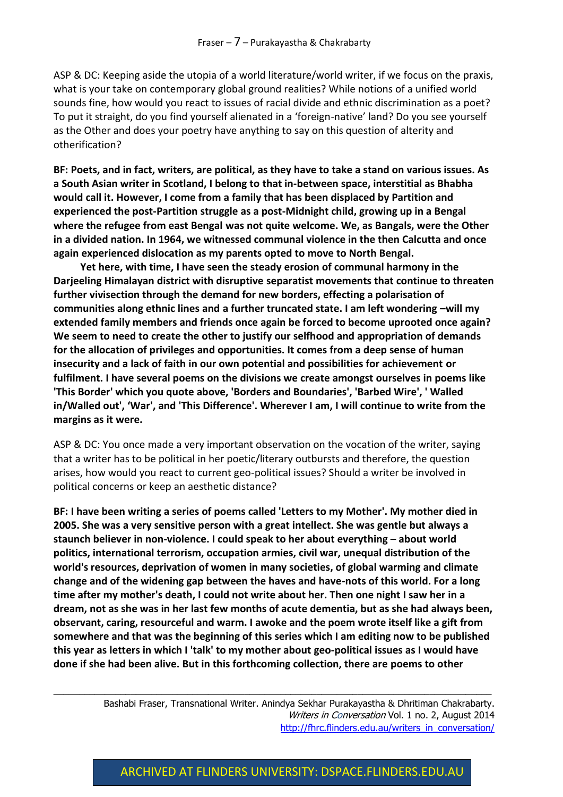ASP & DC: Keeping aside the utopia of a world literature/world writer, if we focus on the praxis, what is your take on contemporary global ground realities? While notions of a unified world sounds fine, how would you react to issues of racial divide and ethnic discrimination as a poet? To put it straight, do you find yourself alienated in a 'foreign-native' land? Do you see yourself as the Other and does your poetry have anything to say on this question of alterity and otherification?

**BF: Poets, and in fact, writers, are political, as they have to take a stand on various issues. As a South Asian writer in Scotland, I belong to that in-between space, interstitial as Bhabha would call it. However, I come from a family that has been displaced by Partition and experienced the post-Partition struggle as a post-Midnight child, growing up in a Bengal where the refugee from east Bengal was not quite welcome. We, as Bangals, were the Other in a divided nation. In 1964, we witnessed communal violence in the then Calcutta and once again experienced dislocation as my parents opted to move to North Bengal.** 

**Yet here, with time, I have seen the steady erosion of communal harmony in the Darjeeling Himalayan district with disruptive separatist movements that continue to threaten further vivisection through the demand for new borders, effecting a polarisation of communities along ethnic lines and a further truncated state. I am left wondering –will my extended family members and friends once again be forced to become uprooted once again? We seem to need to create the other to justify our selfhood and appropriation of demands for the allocation of privileges and opportunities. It comes from a deep sense of human insecurity and a lack of faith in our own potential and possibilities for achievement or fulfilment. I have several poems on the divisions we create amongst ourselves in poems like 'This Border' which you quote above, 'Borders and Boundaries', 'Barbed Wire', ' Walled in/Walled out', 'War', and 'This Difference'. Wherever I am, I will continue to write from the margins as it were.**

ASP & DC: You once made a very important observation on the vocation of the writer, saying that a writer has to be political in her poetic/literary outbursts and therefore, the question arises, how would you react to current geo-political issues? Should a writer be involved in political concerns or keep an aesthetic distance?

**BF: I have been writing a series of poems called 'Letters to my Mother'. My mother died in 2005. She was a very sensitive person with a great intellect. She was gentle but always a staunch believer in non-violence. I could speak to her about everything – about world politics, international terrorism, occupation armies, civil war, unequal distribution of the world's resources, deprivation of women in many societies, of global warming and climate change and of the widening gap between the haves and have-nots of this world. For a long time after my mother's death, I could not write about her. Then one night I saw her in a dream, not as she was in her last few months of acute dementia, but as she had always been, observant, caring, resourceful and warm. I awoke and the poem wrote itself like a gift from somewhere and that was the beginning of this series which I am editing now to be published this year as letters in which I 'talk' to my mother about geo-political issues as I would have done if she had been alive. But in this forthcoming collection, there are poems to other** 

 $\_$  , and the set of the set of the set of the set of the set of the set of the set of the set of the set of the set of the set of the set of the set of the set of the set of the set of the set of the set of the set of th

Bashabi Fraser, Transnational Writer. Anindya Sekhar Purakayastha & Dhritiman Chakrabarty. Writers in Conversation Vol. 1 no. 2, August 2014 [http://fhrc.flinders.edu.au/writers\\_in\\_conversation/](http://fhrc.flinders.edu.au/writers_in_conversation/)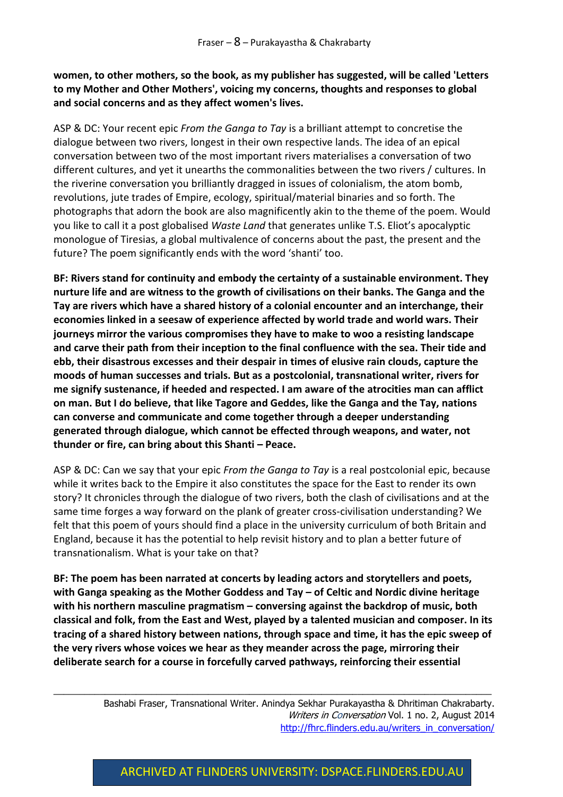**women, to other mothers, so the book, as my publisher has suggested, will be called 'Letters to my Mother and Other Mothers', voicing my concerns, thoughts and responses to global and social concerns and as they affect women's lives.**

ASP & DC: Your recent epic *From the Ganga to Tay* is a brilliant attempt to concretise the dialogue between two rivers, longest in their own respective lands. The idea of an epical conversation between two of the most important rivers materialises a conversation of two different cultures, and yet it unearths the commonalities between the two rivers / cultures. In the riverine conversation you brilliantly dragged in issues of colonialism, the atom bomb, revolutions, jute trades of Empire, ecology, spiritual/material binaries and so forth. The photographs that adorn the book are also magnificently akin to the theme of the poem. Would you like to call it a post globalised *Waste Land* that generates unlike T.S. Eliot's apocalyptic monologue of Tiresias, a global multivalence of concerns about the past, the present and the future? The poem significantly ends with the word 'shanti' too.

**BF: Rivers stand for continuity and embody the certainty of a sustainable environment. They nurture life and are witness to the growth of civilisations on their banks. The Ganga and the Tay are rivers which have a shared history of a colonial encounter and an interchange, their economies linked in a seesaw of experience affected by world trade and world wars. Their journeys mirror the various compromises they have to make to woo a resisting landscape and carve their path from their inception to the final confluence with the sea. Their tide and ebb, their disastrous excesses and their despair in times of elusive rain clouds, capture the moods of human successes and trials. But as a postcolonial, transnational writer, rivers for me signify sustenance, if heeded and respected. I am aware of the atrocities man can afflict on man. But I do believe, that like Tagore and Geddes, like the Ganga and the Tay, nations can converse and communicate and come together through a deeper understanding generated through dialogue, which cannot be effected through weapons, and water, not thunder or fire, can bring about this Shanti – Peace.** 

ASP & DC: Can we say that your epic *From the Ganga to Tay* is a real postcolonial epic, because while it writes back to the Empire it also constitutes the space for the East to render its own story? It chronicles through the dialogue of two rivers, both the clash of civilisations and at the same time forges a way forward on the plank of greater cross-civilisation understanding? We felt that this poem of yours should find a place in the university curriculum of both Britain and England, because it has the potential to help revisit history and to plan a better future of transnationalism. What is your take on that?

**BF: The poem has been narrated at concerts by leading actors and storytellers and poets, with Ganga speaking as the Mother Goddess and Tay – of Celtic and Nordic divine heritage with his northern masculine pragmatism – conversing against the backdrop of music, both classical and folk, from the East and West, played by a talented musician and composer. In its tracing of a shared history between nations, through space and time, it has the epic sweep of the very rivers whose voices we hear as they meander across the page, mirroring their deliberate search for a course in forcefully carved pathways, reinforcing their essential** 

 $\_$  , and the set of the set of the set of the set of the set of the set of the set of the set of the set of the set of the set of the set of the set of the set of the set of the set of the set of the set of the set of th

Bashabi Fraser, Transnational Writer. Anindya Sekhar Purakayastha & Dhritiman Chakrabarty. Writers in Conversation Vol. 1 no. 2, August 2014 [http://fhrc.flinders.edu.au/writers\\_in\\_conversation/](http://fhrc.flinders.edu.au/writers_in_conversation/)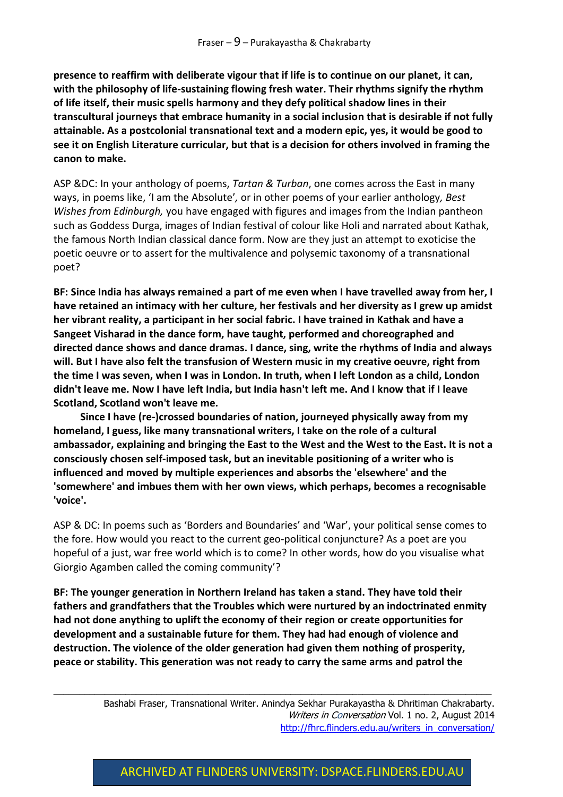**presence to reaffirm with deliberate vigour that if life is to continue on our planet, it can, with the philosophy of life-sustaining flowing fresh water. Their rhythms signify the rhythm of life itself, their music spells harmony and they defy political shadow lines in their transcultural journeys that embrace humanity in a social inclusion that is desirable if not fully attainable. As a postcolonial transnational text and a modern epic, yes, it would be good to see it on English Literature curricular, but that is a decision for others involved in framing the canon to make.**

ASP &DC: In your anthology of poems, *Tartan & Turban*, one comes across the East in many ways, in poems like, 'I am the Absolute'*,* or in other poems of your earlier anthology*, Best Wishes from Edinburgh,* you have engaged with figures and images from the Indian pantheon such as Goddess Durga, images of Indian festival of colour like Holi and narrated about Kathak, the famous North Indian classical dance form. Now are they just an attempt to exoticise the poetic oeuvre or to assert for the multivalence and polysemic taxonomy of a transnational poet?

**BF: Since India has always remained a part of me even when I have travelled away from her, I have retained an intimacy with her culture, her festivals and her diversity as I grew up amidst her vibrant reality, a participant in her social fabric. I have trained in Kathak and have a Sangeet Visharad in the dance form, have taught, performed and choreographed and directed dance shows and dance dramas. I dance, sing, write the rhythms of India and always will. But I have also felt the transfusion of Western music in my creative oeuvre, right from the time I was seven, when I was in London. In truth, when I left London as a child, London didn't leave me. Now I have left India, but India hasn't left me. And I know that if I leave Scotland, Scotland won't leave me.** 

**Since I have (re-)crossed boundaries of nation, journeyed physically away from my homeland, I guess, like many transnational writers, I take on the role of a cultural ambassador, explaining and bringing the East to the West and the West to the East. It is not a consciously chosen self-imposed task, but an inevitable positioning of a writer who is influenced and moved by multiple experiences and absorbs the 'elsewhere' and the 'somewhere' and imbues them with her own views, which perhaps, becomes a recognisable 'voice'.**

ASP & DC: In poems such as 'Borders and Boundaries' and 'War', your political sense comes to the fore. How would you react to the current geo-political conjuncture? As a poet are you hopeful of a just, war free world which is to come? In other words, how do you visualise what Giorgio Agamben called the coming community'?

**BF: The younger generation in Northern Ireland has taken a stand. They have told their fathers and grandfathers that the Troubles which were nurtured by an indoctrinated enmity had not done anything to uplift the economy of their region or create opportunities for development and a sustainable future for them. They had had enough of violence and destruction. The violence of the older generation had given them nothing of prosperity, peace or stability. This generation was not ready to carry the same arms and patrol the** 

 $\_$  , and the set of the set of the set of the set of the set of the set of the set of the set of the set of the set of the set of the set of the set of the set of the set of the set of the set of the set of the set of th

Bashabi Fraser, Transnational Writer. Anindya Sekhar Purakayastha & Dhritiman Chakrabarty. Writers in Conversation Vol. 1 no. 2, August 2014 [http://fhrc.flinders.edu.au/writers\\_in\\_conversation/](http://fhrc.flinders.edu.au/writers_in_conversation/)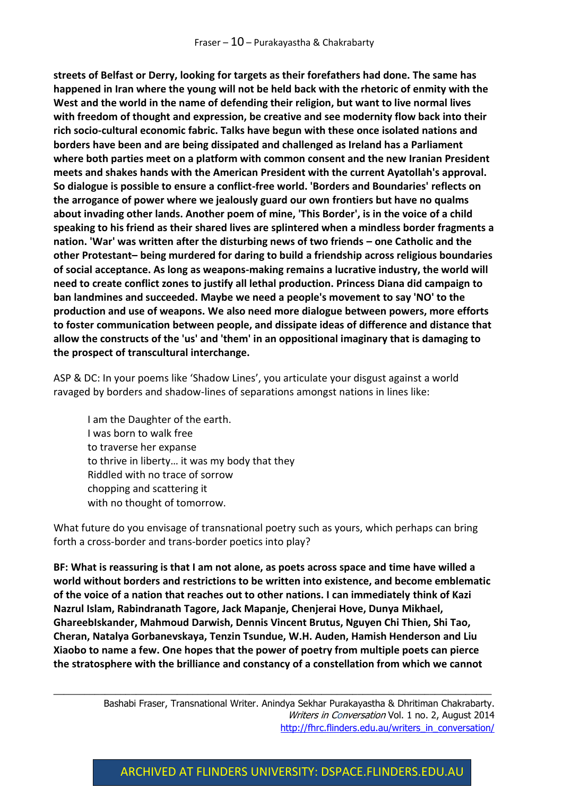**streets of Belfast or Derry, looking for targets as their forefathers had done. The same has happened in Iran where the young will not be held back with the rhetoric of enmity with the West and the world in the name of defending their religion, but want to live normal lives with freedom of thought and expression, be creative and see modernity flow back into their rich socio-cultural economic fabric. Talks have begun with these once isolated nations and borders have been and are being dissipated and challenged as Ireland has a Parliament where both parties meet on a platform with common consent and the new Iranian President meets and shakes hands with the American President with the current Ayatollah's approval. So dialogue is possible to ensure a conflict-free world. 'Borders and Boundaries' reflects on the arrogance of power where we jealously guard our own frontiers but have no qualms about invading other lands. Another poem of mine, 'This Border', is in the voice of a child speaking to his friend as their shared lives are splintered when a mindless border fragments a nation. 'War' was written after the disturbing news of two friends – one Catholic and the other Protestant– being murdered for daring to build a friendship across religious boundaries of social acceptance. As long as weapons-making remains a lucrative industry, the world will need to create conflict zones to justify all lethal production. Princess Diana did campaign to ban landmines and succeeded. Maybe we need a people's movement to say 'NO' to the production and use of weapons. We also need more dialogue between powers, more efforts to foster communication between people, and dissipate ideas of difference and distance that allow the constructs of the 'us' and 'them' in an oppositional imaginary that is damaging to the prospect of transcultural interchange.**

ASP & DC: In your poems like 'Shadow Lines', you articulate your disgust against a world ravaged by borders and shadow-lines of separations amongst nations in lines like:

I am the Daughter of the earth. I was born to walk free to traverse her expanse to thrive in liberty… it was my body that they Riddled with no trace of sorrow chopping and scattering it with no thought of tomorrow.

What future do you envisage of transnational poetry such as yours, which perhaps can bring forth a cross-border and trans-border poetics into play?

**BF: What is reassuring is that I am not alone, as poets across space and time have willed a world without borders and restrictions to be written into existence, and become emblematic of the voice of a nation that reaches out to other nations. I can immediately think of Kazi Nazrul Islam, Rabindranath Tagore, Jack Mapanje, Chenjerai Hove, Dunya Mikhael, GhareebIskander, Mahmoud Darwish, Dennis Vincent Brutus, Nguyen Chi Thien, Shi Tao, Cheran, Natalya Gorbanevskaya, Tenzin Tsundue, W.H. Auden, Hamish Henderson and Liu Xiaobo to name a few. One hopes that the power of poetry from multiple poets can pierce the stratosphere with the brilliance and constancy of a constellation from which we cannot** 

 $\_$  , and the set of the set of the set of the set of the set of the set of the set of the set of the set of the set of the set of the set of the set of the set of the set of the set of the set of the set of the set of th

Bashabi Fraser, Transnational Writer. Anindya Sekhar Purakayastha & Dhritiman Chakrabarty. Writers in Conversation Vol. 1 no. 2, August 2014 [http://fhrc.flinders.edu.au/writers\\_in\\_conversation/](http://fhrc.flinders.edu.au/writers_in_conversation/)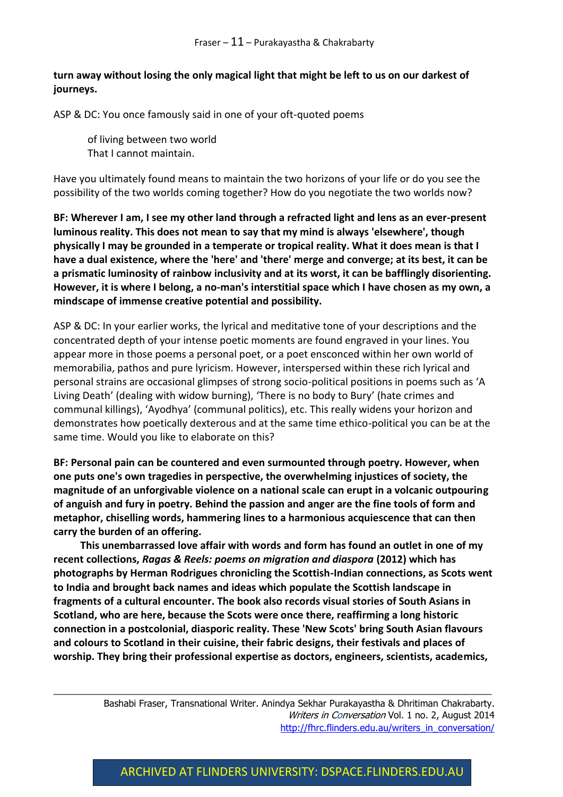#### **turn away without losing the only magical light that might be left to us on our darkest of journeys.**

ASP & DC: You once famously said in one of your oft-quoted poems

of living between two world That I cannot maintain.

Have you ultimately found means to maintain the two horizons of your life or do you see the possibility of the two worlds coming together? How do you negotiate the two worlds now?

**BF: Wherever I am, I see my other land through a refracted light and lens as an ever-present luminous reality. This does not mean to say that my mind is always 'elsewhere', though physically I may be grounded in a temperate or tropical reality. What it does mean is that I have a dual existence, where the 'here' and 'there' merge and converge; at its best, it can be a prismatic luminosity of rainbow inclusivity and at its worst, it can be bafflingly disorienting. However, it is where I belong, a no-man's interstitial space which I have chosen as my own, a mindscape of immense creative potential and possibility.** 

ASP & DC: In your earlier works, the lyrical and meditative tone of your descriptions and the concentrated depth of your intense poetic moments are found engraved in your lines. You appear more in those poems a personal poet, or a poet ensconced within her own world of memorabilia, pathos and pure lyricism. However, interspersed within these rich lyrical and personal strains are occasional glimpses of strong socio-political positions in poems such as 'A Living Death' (dealing with widow burning), 'There is no body to Bury' (hate crimes and communal killings), 'Ayodhya' (communal politics), etc. This really widens your horizon and demonstrates how poetically dexterous and at the same time ethico-political you can be at the same time. Would you like to elaborate on this?

**BF: Personal pain can be countered and even surmounted through poetry. However, when one puts one's own tragedies in perspective, the overwhelming injustices of society, the magnitude of an unforgivable violence on a national scale can erupt in a volcanic outpouring of anguish and fury in poetry. Behind the passion and anger are the fine tools of form and metaphor, chiselling words, hammering lines to a harmonious acquiescence that can then carry the burden of an offering.** 

**This unembarrassed love affair with words and form has found an outlet in one of my recent collections,** *Ragas & Reels: poems on migration and diaspora* **(2012) which has photographs by Herman Rodrigues chronicling the Scottish-Indian connections, as Scots went to India and brought back names and ideas which populate the Scottish landscape in fragments of a cultural encounter. The book also records visual stories of South Asians in Scotland, who are here, because the Scots were once there, reaffirming a long historic connection in a postcolonial, diasporic reality. These 'New Scots' bring South Asian flavours and colours to Scotland in their cuisine, their fabric designs, their festivals and places of worship. They bring their professional expertise as doctors, engineers, scientists, academics,** 

 $\_$  , and the set of the set of the set of the set of the set of the set of the set of the set of the set of the set of the set of the set of the set of the set of the set of the set of the set of the set of the set of th

Bashabi Fraser, Transnational Writer. Anindya Sekhar Purakayastha & Dhritiman Chakrabarty. Writers in Conversation Vol. 1 no. 2, August 2014 [http://fhrc.flinders.edu.au/writers\\_in\\_conversation/](http://fhrc.flinders.edu.au/writers_in_conversation/)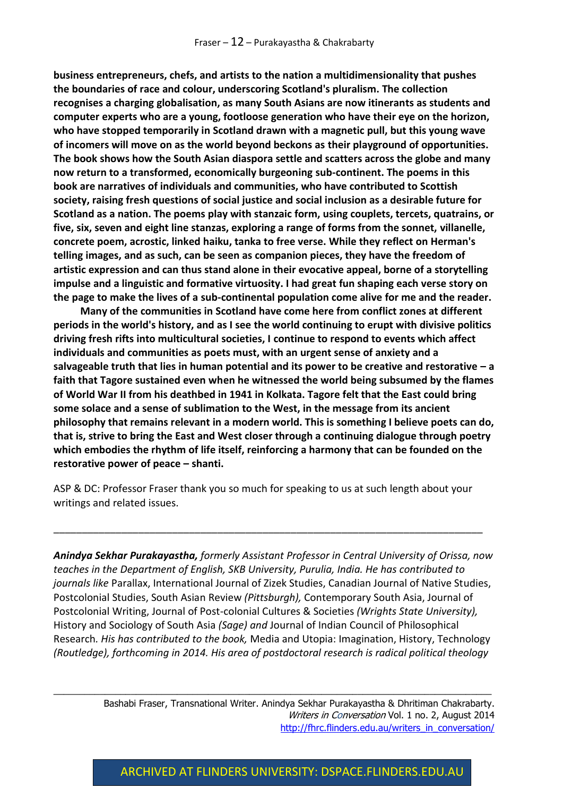**business entrepreneurs, chefs, and artists to the nation a multidimensionality that pushes the boundaries of race and colour, underscoring Scotland's pluralism. The collection recognises a charging globalisation, as many South Asians are now itinerants as students and computer experts who are a young, footloose generation who have their eye on the horizon, who have stopped temporarily in Scotland drawn with a magnetic pull, but this young wave of incomers will move on as the world beyond beckons as their playground of opportunities. The book shows how the South Asian diaspora settle and scatters across the globe and many now return to a transformed, economically burgeoning sub-continent. The poems in this book are narratives of individuals and communities, who have contributed to Scottish society, raising fresh questions of social justice and social inclusion as a desirable future for Scotland as a nation. The poems play with stanzaic form, using couplets, tercets, quatrains, or five, six, seven and eight line stanzas, exploring a range of forms from the sonnet, villanelle, concrete poem, acrostic, linked haiku, tanka to free verse. While they reflect on Herman's telling images, and as such, can be seen as companion pieces, they have the freedom of artistic expression and can thus stand alone in their evocative appeal, borne of a storytelling impulse and a linguistic and formative virtuosity. I had great fun shaping each verse story on the page to make the lives of a sub-continental population come alive for me and the reader.**

**Many of the communities in Scotland have come here from conflict zones at different periods in the world's history, and as I see the world continuing to erupt with divisive politics driving fresh rifts into multicultural societies, I continue to respond to events which affect individuals and communities as poets must, with an urgent sense of anxiety and a salvageable truth that lies in human potential and its power to be creative and restorative – a faith that Tagore sustained even when he witnessed the world being subsumed by the flames of World War II from his deathbed in 1941 in Kolkata. Tagore felt that the East could bring some solace and a sense of sublimation to the West, in the message from its ancient philosophy that remains relevant in a modern world. This is something I believe poets can do, that is, strive to bring the East and West closer through a continuing dialogue through poetry which embodies the rhythm of life itself, reinforcing a harmony that can be founded on the restorative power of peace – shanti.**

ASP & DC: Professor Fraser thank you so much for speaking to us at such length about your writings and related issues.

\_\_\_\_\_\_\_\_\_\_\_\_\_\_\_\_\_\_\_\_\_\_\_\_\_\_\_\_\_\_\_\_\_\_\_\_\_\_\_\_\_\_\_\_\_\_\_\_\_\_\_\_\_\_\_\_\_\_\_\_\_\_\_\_\_\_\_\_\_\_\_\_\_\_\_\_

*Anindya Sekhar Purakayastha, formerly Assistant Professor in Central University of Orissa, now teaches in the Department of English, SKB University, Purulia, India. He has contributed to journals like* Parallax, International Journal of Zizek Studies, Canadian Journal of Native Studies, Postcolonial Studies, South Asian Review *(Pittsburgh),* Contemporary South Asia, Journal of Postcolonial Writing, Journal of Post-colonial Cultures & Societies *(Wrights State University),*  History and Sociology of South Asia *(Sage) and* Journal of Indian Council of Philosophical Research*. His has contributed to the book,* Media and Utopia: Imagination, History, Technology *(Routledge), forthcoming in 2014. His area of postdoctoral research is radical political theology* 

 $\_$  , and the set of the set of the set of the set of the set of the set of the set of the set of the set of the set of the set of the set of the set of the set of the set of the set of the set of the set of the set of th

Bashabi Fraser, Transnational Writer. Anindya Sekhar Purakayastha & Dhritiman Chakrabarty. Writers in Conversation Vol. 1 no. 2, August 2014 [http://fhrc.flinders.edu.au/writers\\_in\\_conversation/](http://fhrc.flinders.edu.au/writers_in_conversation/)